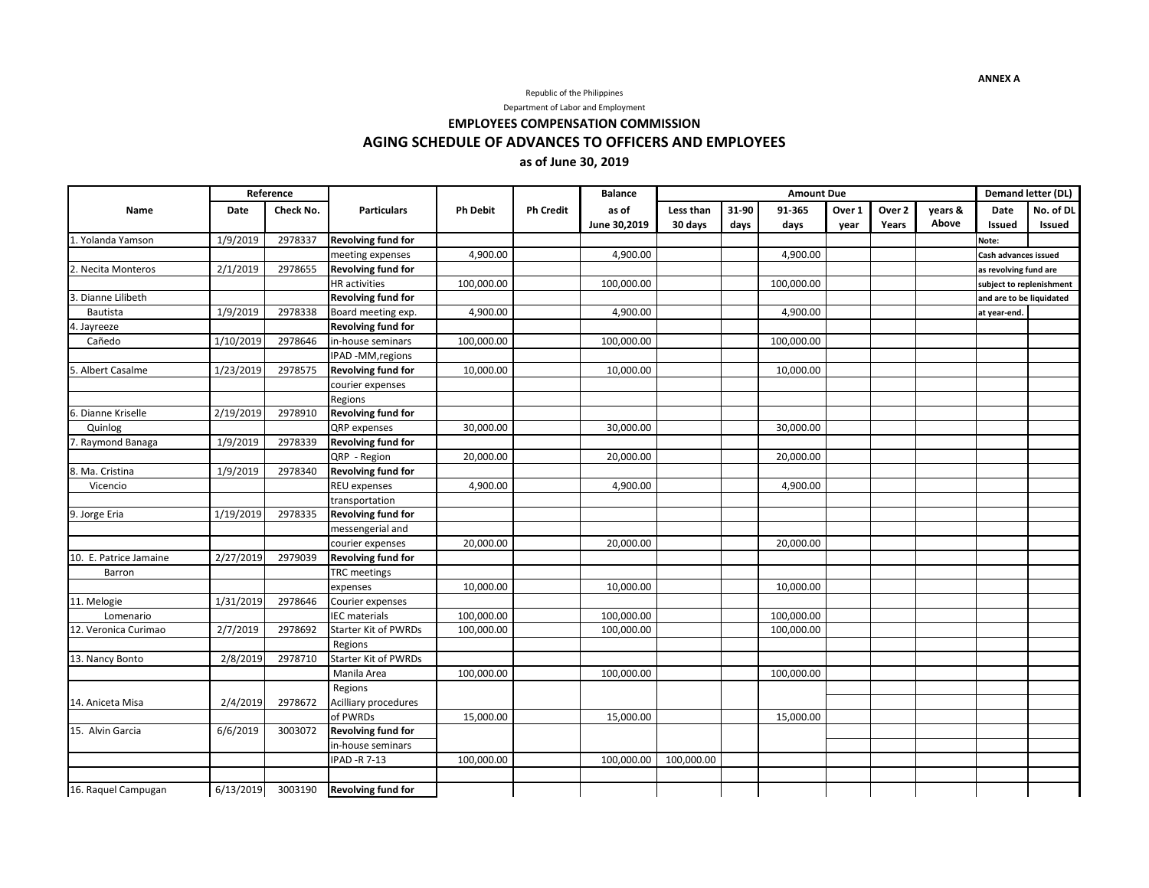### Republic of the Philippines

Department of Labor and Employment

**EMPLOYEES COMPENSATION COMMISSION**

**AGING SCHEDULE OF ADVANCES TO OFFICERS AND EMPLOYEES**

## **as of June 30, 2019**

|                        |           | Reference |                             |                 |                  | <b>Balance</b> | <b>Amount Due</b> |       |            |        |                   |         |                          | Demand letter (DL) |
|------------------------|-----------|-----------|-----------------------------|-----------------|------------------|----------------|-------------------|-------|------------|--------|-------------------|---------|--------------------------|--------------------|
| Name                   | Date      | Check No. | <b>Particulars</b>          | <b>Ph Debit</b> | <b>Ph Credit</b> | as of          | Less than         | 31-90 | 91-365     | Over 1 | Over <sub>2</sub> | vears & | <b>Date</b>              | No. of DL          |
|                        |           |           |                             |                 |                  | June 30.2019   | 30 days           | days  | days       | year   | Years             | Above   | <b>Issued</b>            | <b>Issued</b>      |
| 1. Yolanda Yamson      | 1/9/2019  | 2978337   | Revolving fund for          |                 |                  |                |                   |       |            |        |                   |         | Note:                    |                    |
|                        |           |           | meeting expenses            | 4,900.00        |                  | 4,900.00       |                   |       | 4,900.00   |        |                   |         | Cash advances issued     |                    |
| 2. Necita Monteros     | 2/1/2019  | 2978655   | <b>Revolving fund for</b>   |                 |                  |                |                   |       |            |        |                   |         | as revolving fund are    |                    |
|                        |           |           | <b>HR</b> activities        | 100,000.00      |                  | 100,000.00     |                   |       | 100,000.00 |        |                   |         | subject to replenishment |                    |
| 3. Dianne Lilibeth     |           |           | Revolving fund for          |                 |                  |                |                   |       |            |        |                   |         | and are to be liquidated |                    |
| Bautista               | 1/9/2019  | 2978338   | Board meeting exp.          | 4,900.00        |                  | 4,900.00       |                   |       | 4,900.00   |        |                   |         | at year-end.             |                    |
| 4. Jayreeze            |           |           | Revolving fund for          |                 |                  |                |                   |       |            |        |                   |         |                          |                    |
| Cañedo                 | 1/10/2019 | 2978646   | in-house seminars           | 100,000.00      |                  | 100,000.00     |                   |       | 100,000.00 |        |                   |         |                          |                    |
|                        |           |           | IPAD -MM, regions           |                 |                  |                |                   |       |            |        |                   |         |                          |                    |
| 5. Albert Casalme      | 1/23/2019 | 2978575   | Revolving fund for          | 10,000.00       |                  | 10,000.00      |                   |       | 10,000.00  |        |                   |         |                          |                    |
|                        |           |           | courier expenses            |                 |                  |                |                   |       |            |        |                   |         |                          |                    |
|                        |           |           | Regions                     |                 |                  |                |                   |       |            |        |                   |         |                          |                    |
| 6. Dianne Kriselle     | 2/19/2019 | 2978910   | <b>Revolving fund for</b>   |                 |                  |                |                   |       |            |        |                   |         |                          |                    |
| Quinlog                |           |           | QRP expenses                | 30,000.00       |                  | 30,000.00      |                   |       | 30,000.00  |        |                   |         |                          |                    |
| 7. Raymond Banaga      | 1/9/2019  | 2978339   | Revolving fund for          |                 |                  |                |                   |       |            |        |                   |         |                          |                    |
|                        |           |           | QRP - Region                | 20,000.00       |                  | 20,000.00      |                   |       | 20,000.00  |        |                   |         |                          |                    |
| 8. Ma. Cristina        | 1/9/2019  | 2978340   | <b>Revolving fund for</b>   |                 |                  |                |                   |       |            |        |                   |         |                          |                    |
| Vicencio               |           |           | <b>REU expenses</b>         | 4,900.00        |                  | 4,900.00       |                   |       | 4,900.00   |        |                   |         |                          |                    |
|                        |           |           | transportation              |                 |                  |                |                   |       |            |        |                   |         |                          |                    |
| 9. Jorge Eria          | 1/19/2019 | 2978335   | Revolving fund for          |                 |                  |                |                   |       |            |        |                   |         |                          |                    |
|                        |           |           | messengerial and            |                 |                  |                |                   |       |            |        |                   |         |                          |                    |
|                        |           |           | courier expenses            | 20,000.00       |                  | 20,000.00      |                   |       | 20,000.00  |        |                   |         |                          |                    |
| 10. E. Patrice Jamaine | 2/27/2019 | 2979039   | Revolving fund for          |                 |                  |                |                   |       |            |        |                   |         |                          |                    |
| Barron                 |           |           | <b>TRC</b> meetings         |                 |                  |                |                   |       |            |        |                   |         |                          |                    |
|                        |           |           | expenses                    | 10,000.00       |                  | 10,000.00      |                   |       | 10,000.00  |        |                   |         |                          |                    |
| 11. Melogie            | 1/31/2019 | 2978646   | Courier expenses            |                 |                  |                |                   |       |            |        |                   |         |                          |                    |
| Lomenario              |           |           | <b>IEC</b> materials        | 100,000.00      |                  | 100,000.00     |                   |       | 100,000.00 |        |                   |         |                          |                    |
| 12. Veronica Curimao   | 2/7/2019  | 2978692   | Starter Kit of PWRDs        | 100,000.00      |                  | 100,000.00     |                   |       | 100,000.00 |        |                   |         |                          |                    |
|                        |           |           | Regions                     |                 |                  |                |                   |       |            |        |                   |         |                          |                    |
| 13. Nancy Bonto        | 2/8/2019  | 2978710   | <b>Starter Kit of PWRDs</b> |                 |                  |                |                   |       |            |        |                   |         |                          |                    |
|                        |           |           | Manila Area                 | 100,000.00      |                  | 100,000.00     |                   |       | 100,000.00 |        |                   |         |                          |                    |
|                        |           |           | Regions                     |                 |                  |                |                   |       |            |        |                   |         |                          |                    |
| 14. Aniceta Misa       | 2/4/2019  | 2978672   | Acilliary procedures        |                 |                  |                |                   |       |            |        |                   |         |                          |                    |
|                        |           |           | of PWRDs                    | 15,000.00       |                  | 15,000.00      |                   |       | 15,000.00  |        |                   |         |                          |                    |
| 15. Alvin Garcia       | 6/6/2019  | 3003072   | Revolving fund for          |                 |                  |                |                   |       |            |        |                   |         |                          |                    |
|                        |           |           | in-house seminars           |                 |                  |                |                   |       |            |        |                   |         |                          |                    |
|                        |           |           | IPAD -R 7-13                | 100,000.00      |                  | 100,000.00     | 100,000.00        |       |            |        |                   |         |                          |                    |
|                        |           |           |                             |                 |                  |                |                   |       |            |        |                   |         |                          |                    |
| 16. Raquel Campugan    | 6/13/2019 | 3003190   | <b>Revolving fund for</b>   |                 |                  |                |                   |       |            |        |                   |         |                          |                    |

**ANNEX A**